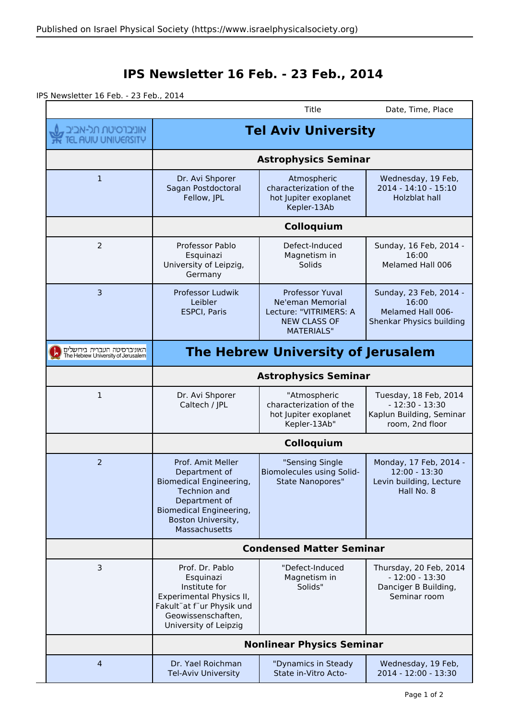## **IPS Newsletter 16 Feb. - 23 Feb., 2014**

IPS Newsletter 16 Feb. - 23 Feb., 2014

|                                                                   |                                                                                                                                                                         | Title                                                                                                            | Date, Time, Place                                                                        |
|-------------------------------------------------------------------|-------------------------------------------------------------------------------------------------------------------------------------------------------------------------|------------------------------------------------------------------------------------------------------------------|------------------------------------------------------------------------------------------|
| , אוניברסיטת תל-אביב<br>TEL AUIU UNIUERSITY                       | <b>Tel Aviv University</b>                                                                                                                                              |                                                                                                                  |                                                                                          |
|                                                                   | <b>Astrophysics Seminar</b>                                                                                                                                             |                                                                                                                  |                                                                                          |
| $\mathbf{1}$                                                      | Dr. Avi Shporer<br>Sagan Postdoctoral<br>Fellow, JPL                                                                                                                    | Atmospheric<br>characterization of the<br>hot Jupiter exoplanet<br>Kepler-13Ab                                   | Wednesday, 19 Feb,<br>2014 - 14:10 - 15:10<br>Holzblat hall                              |
|                                                                   | Colloquium                                                                                                                                                              |                                                                                                                  |                                                                                          |
| $\overline{2}$                                                    | Professor Pablo<br>Esquinazi<br>University of Leipzig,<br>Germany                                                                                                       | Defect-Induced<br>Magnetism in<br>Solids                                                                         | Sunday, 16 Feb, 2014 -<br>16:00<br>Melamed Hall 006                                      |
| 3                                                                 | Professor Ludwik<br>Leibler<br><b>ESPCI, Paris</b>                                                                                                                      | <b>Professor Yuval</b><br>Ne'eman Memorial<br>Lecture: "VITRIMERS: A<br><b>NEW CLASS OF</b><br><b>MATERIALS"</b> | Sunday, 23 Feb, 2014 -<br>16:00<br>Melamed Hall 006-<br><b>Shenkar Physics building</b>  |
| האוניברסיטה העברית בירושלים<br>The Hebrew University of Jerusalem | The Hebrew University of Jerusalem                                                                                                                                      |                                                                                                                  |                                                                                          |
|                                                                   | <b>Astrophysics Seminar</b>                                                                                                                                             |                                                                                                                  |                                                                                          |
| 1                                                                 | Dr. Avi Shporer<br>Caltech / JPL                                                                                                                                        | "Atmospheric<br>characterization of the<br>hot Jupiter exoplanet<br>Kepler-13Ab"                                 | Tuesday, 18 Feb, 2014<br>$-12:30 - 13:30$<br>Kaplun Building, Seminar<br>room, 2nd floor |
|                                                                   | Colloquium                                                                                                                                                              |                                                                                                                  |                                                                                          |
| 2                                                                 | Prof. Amit Meller<br>Department of<br>Biomedical Engineering,<br><b>Technion and</b><br>Department of<br>Biomedical Engineering,<br>Boston University,<br>Massachusetts | "Sensing Single<br>Biomolecules using Solid-<br><b>State Nanopores"</b>                                          | Monday, 17 Feb, 2014 -<br>12:00 - 13:30<br>Levin building, Lecture<br>Hall No. 8         |
|                                                                   | <b>Condensed Matter Seminar</b>                                                                                                                                         |                                                                                                                  |                                                                                          |
| 3                                                                 | Prof. Dr. Pablo<br>Esquinazi<br>Institute for<br>Experimental Physics II,<br>Fakult"at f"ur Physik und<br>Geowissenschaften,<br>University of Leipzig                   | "Defect-Induced<br>Magnetism in<br>Solids"                                                                       | Thursday, 20 Feb, 2014<br>$-12:00 - 13:30$<br>Danciger B Building,<br>Seminar room       |
|                                                                   | <b>Nonlinear Physics Seminar</b>                                                                                                                                        |                                                                                                                  |                                                                                          |
| $\overline{4}$                                                    | Dr. Yael Roichman<br>Tel-Aviv University                                                                                                                                | "Dynamics in Steady<br>State in-Vitro Acto-                                                                      | Wednesday, 19 Feb,<br>2014 - 12:00 - 13:30                                               |